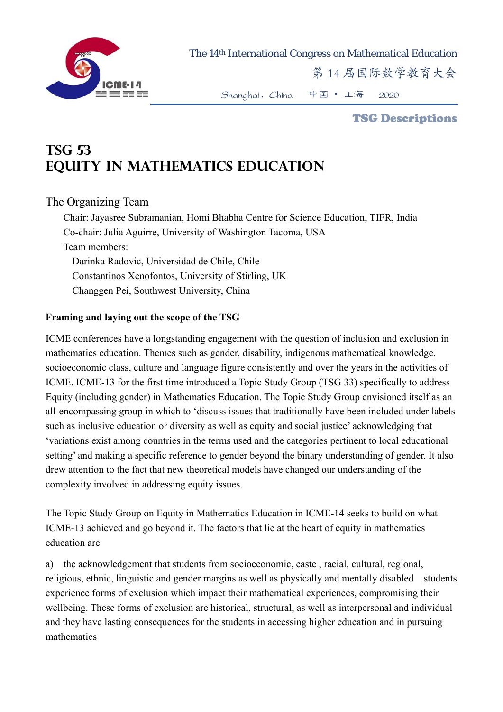

The 14th International Congress on Mathematical Education

第 14 届国际数学教育大会

Shanghai,China 中国 • 上海 2020

#### TSG Descriptions

# **TSG 53 EQUITY IN MATHEMATICS EDUCATION**

## The Organizing Team

Chair: Jayasree Subramanian, Homi Bhabha Centre for Science Education, TIFR, India Co-chair: Julia Aguirre, University of Washington Tacoma, USA Team members: Darinka Radovic, Universidad de Chile, Chile Constantinos Xenofontos, University of Stirling, UK Changgen Pei, Southwest University, China

#### **Framing and laying out the scope of the TSG**

ICME conferences have a longstanding engagement with the question of inclusion and exclusion in mathematics education. Themes such as gender, disability, indigenous mathematical knowledge, socioeconomic class, culture and language figure consistently and over the years in the activities of ICME. ICME-13 for the first time introduced a Topic Study Group (TSG 33) specifically to address Equity (including gender) in Mathematics Education. The Topic Study Group envisioned itself as an all-encompassing group in which to 'discuss issues that traditionally have been included under labels such as inclusive education or diversity as well as equity and social justice' acknowledging that 'variations exist among countries in the terms used and the categories pertinent to local educational setting' and making a specific reference to gender beyond the binary understanding of gender. It also drew attention to the fact that new theoretical models have changed our understanding of the complexity involved in addressing equity issues.

The Topic Study Group on Equity in Mathematics Education in ICME-14 seeks to build on what ICME-13 achieved and go beyond it. The factors that lie at the heart of equity in mathematics education are

a) the acknowledgement that students from socioeconomic, caste , racial, cultural, regional, religious, ethnic, linguistic and gender margins as well as physically and mentally disabled students experience forms of exclusion which impact their mathematical experiences, compromising their wellbeing. These forms of exclusion are historical, structural, as well as interpersonal and individual and they have lasting consequences for the students in accessing higher education and in pursuing mathematics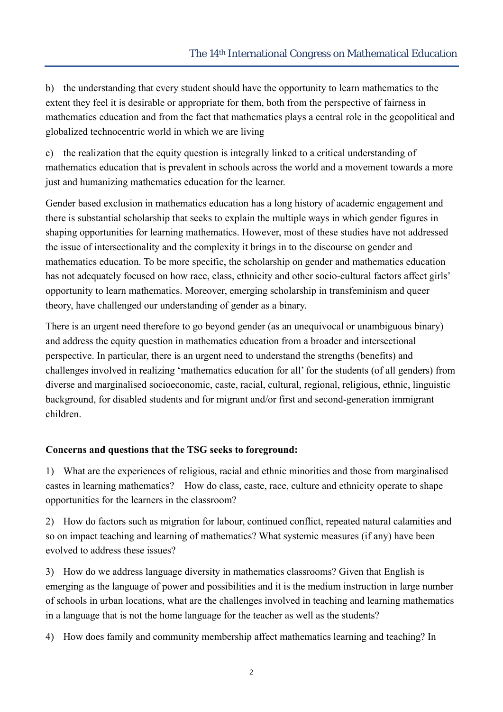b) the understanding that every student should have the opportunity to learn mathematics to the extent they feel it is desirable or appropriate for them, both from the perspective of fairness in mathematics education and from the fact that mathematics plays a central role in the geopolitical and globalized technocentric world in which we are living

c) the realization that the equity question is integrally linked to a critical understanding of mathematics education that is prevalent in schools across the world and a movement towards a more just and humanizing mathematics education for the learner.

Gender based exclusion in mathematics education has a long history of academic engagement and there is substantial scholarship that seeks to explain the multiple ways in which gender figures in shaping opportunities for learning mathematics. However, most of these studies have not addressed the issue of intersectionality and the complexity it brings in to the discourse on gender and mathematics education. To be more specific, the scholarship on gender and mathematics education has not adequately focused on how race, class, ethnicity and other socio-cultural factors affect girls' opportunity to learn mathematics. Moreover, emerging scholarship in transfeminism and queer theory, have challenged our understanding of gender as a binary.

There is an urgent need therefore to go beyond gender (as an unequivocal or unambiguous binary) and address the equity question in mathematics education from a broader and intersectional perspective. In particular, there is an urgent need to understand the strengths (benefits) and challenges involved in realizing 'mathematics education for all' for the students (of all genders) from diverse and marginalised socioeconomic, caste, racial, cultural, regional, religious, ethnic, linguistic background, for disabled students and for migrant and/or first and second-generation immigrant children.

## **Concerns and questions that the TSG seeks to foreground:**

1) What are the experiences of religious, racial and ethnic minorities and those from marginalised castes in learning mathematics? How do class, caste, race, culture and ethnicity operate to shape opportunities for the learners in the classroom?

2) How do factors such as migration for labour, continued conflict, repeated natural calamities and so on impact teaching and learning of mathematics? What systemic measures (if any) have been evolved to address these issues?

3) How do we address language diversity in mathematics classrooms? Given that English is emerging as the language of power and possibilities and it is the medium instruction in large number of schools in urban locations, what are the challenges involved in teaching and learning mathematics in a language that is not the home language for the teacher as well as the students?

4) How does family and community membership affect mathematics learning and teaching? In